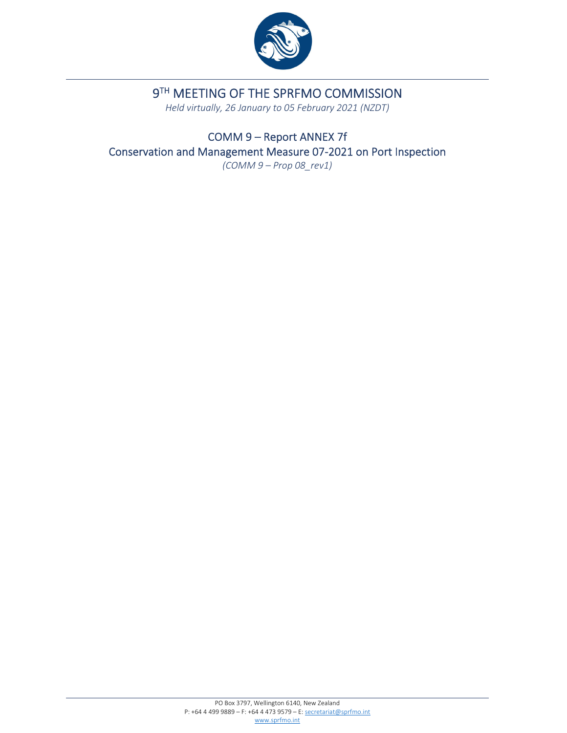

# 9TH MEETING OF THE SPRFMO COMMISSION

*Held virtually, 26 January to 05 February 2021 (NZDT)*

COMM 9 – Report ANNEX 7f Conservation and Management Measure 07‐2021 on Port Inspection *(COMM 9 – Prop 08\_rev1)*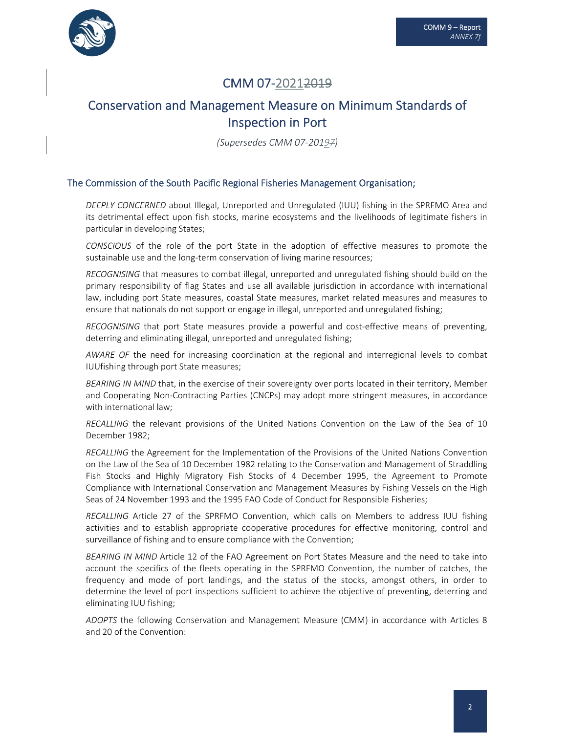

# CMM 07‐20212019

# Conservation and Management Measure on Minimum Standards of Inspection in Port

*(Supersedes CMM 07‐20197)*

#### The Commission of the South Pacific Regional Fisheries Management Organisation;

*DEEPLY CONCERNED* about Illegal, Unreported and Unregulated (IUU) fishing in the SPRFMO Area and its detrimental effect upon fish stocks, marine ecosystems and the livelihoods of legitimate fishers in particular in developing States;

*CONSCIOUS* of the role of the port State in the adoption of effective measures to promote the sustainable use and the long-term conservation of living marine resources;

*RECOGNISING* that measures to combat illegal, unreported and unregulated fishing should build on the primary responsibility of flag States and use all available jurisdiction in accordance with international law, including port State measures, coastal State measures, market related measures and measures to ensure that nationals do not support or engage in illegal, unreported and unregulated fishing;

*RECOGNISING* that port State measures provide a powerful and cost-effective means of preventing, deterring and eliminating illegal, unreported and unregulated fishing;

*AWARE OF* the need for increasing coordination at the regional and interregional levels to combat IUUfishing through port State measures;

*BEARING IN MIND* that, in the exercise of their sovereignty over ports located in their territory, Member and Cooperating Non‐Contracting Parties (CNCPs) may adopt more stringent measures, in accordance with international law;

*RECALLING* the relevant provisions of the United Nations Convention on the Law of the Sea of 10 December 1982;

*RECALLING* the Agreement for the Implementation of the Provisions of the United Nations Convention on the Law of the Sea of 10 December 1982 relating to the Conservation and Management of Straddling Fish Stocks and Highly Migratory Fish Stocks of 4 December 1995, the Agreement to Promote Compliance with International Conservation and Management Measures by Fishing Vessels on the High Seas of 24 November 1993 and the 1995 FAO Code of Conduct for Responsible Fisheries;

*RECALLING* Article 27 of the SPRFMO Convention, which calls on Members to address IUU fishing activities and to establish appropriate cooperative procedures for effective monitoring, control and surveillance of fishing and to ensure compliance with the Convention;

*BEARING IN MIND* Article 12 of the FAO Agreement on Port States Measure and the need to take into account the specifics of the fleets operating in the SPRFMO Convention, the number of catches, the frequency and mode of port landings, and the status of the stocks, amongst others, in order to determine the level of port inspections sufficient to achieve the objective of preventing, deterring and eliminating IUU fishing;

*ADOPTS* the following Conservation and Management Measure (CMM) in accordance with Articles 8 and 20 of the Convention: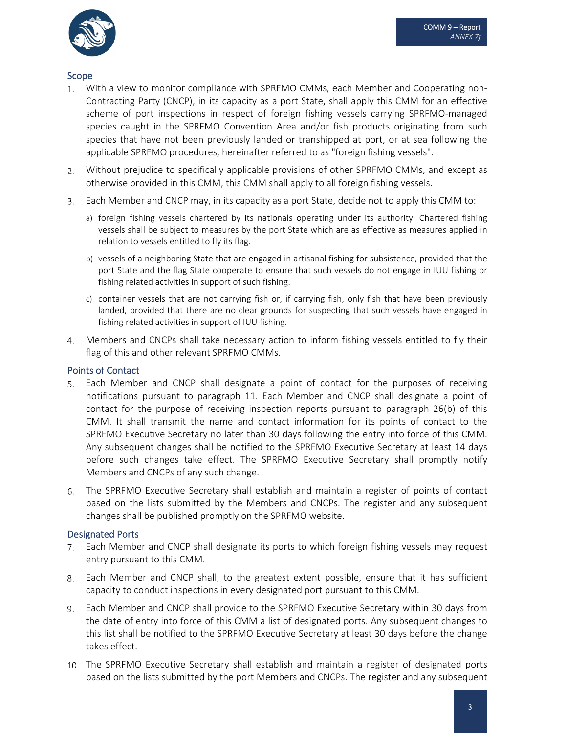

### Scope

- With a view to monitor compliance with SPRFMO CMMs, each Member and Cooperating non- $1.$ Contracting Party (CNCP), in its capacity as a port State, shall apply this CMM for an effective scheme of port inspections in respect of foreign fishing vessels carrying SPRFMO‐managed species caught in the SPRFMO Convention Area and/or fish products originating from such species that have not been previously landed or transhipped at port, or at sea following the applicable SPRFMO procedures, hereinafter referred to as "foreign fishing vessels".
- Without prejudice to specifically applicable provisions of other SPRFMO CMMs, and except as otherwise provided in this CMM, this CMM shall apply to all foreign fishing vessels.
- Each Member and CNCP may, in its capacity as a port State, decide not to apply this CMM to:
	- a) foreign fishing vessels chartered by its nationals operating under its authority. Chartered fishing vessels shall be subject to measures by the port State which are as effective as measures applied in relation to vessels entitled to fly its flag.
	- b) vessels of a neighboring State that are engaged in artisanal fishing for subsistence, provided that the port State and the flag State cooperate to ensure that such vessels do not engage in IUU fishing or fishing related activities in support of such fishing.
	- c) container vessels that are not carrying fish or, if carrying fish, only fish that have been previously landed, provided that there are no clear grounds for suspecting that such vessels have engaged in fishing related activities in support of IUU fishing.
- Members and CNCPs shall take necessary action to inform fishing vessels entitled to fly their flag of this and other relevant SPRFMO CMMs.

### Points of Contact

- Each Member and CNCP shall designate a point of contact for the purposes of receiving notifications pursuant to paragraph 11. Each Member and CNCP shall designate a point of contact for the purpose of receiving inspection reports pursuant to paragraph 26(b) of this CMM. It shall transmit the name and contact information for its points of contact to the SPRFMO Executive Secretary no later than 30 days following the entry into force of this CMM. Any subsequent changes shall be notified to the SPRFMO Executive Secretary at least 14 days before such changes take effect. The SPRFMO Executive Secretary shall promptly notify Members and CNCPs of any such change.
- The SPRFMO Executive Secretary shall establish and maintain a register of points of contact based on the lists submitted by the Members and CNCPs. The register and any subsequent changes shall be published promptly on the SPRFMO website.

### Designated Ports

- Each Member and CNCP shall designate its ports to which foreign fishing vessels may request entry pursuant to this CMM.
- Each Member and CNCP shall, to the greatest extent possible, ensure that it has sufficient capacity to conduct inspections in every designated port pursuant to this CMM.
- Each Member and CNCP shall provide to the SPRFMO Executive Secretary within 30 days from the date of entry into force of this CMM a list of designated ports. Any subsequent changes to this list shall be notified to the SPRFMO Executive Secretary at least 30 days before the change takes effect.
- The SPRFMO Executive Secretary shall establish and maintain a register of designated ports based on the lists submitted by the port Members and CNCPs. The register and any subsequent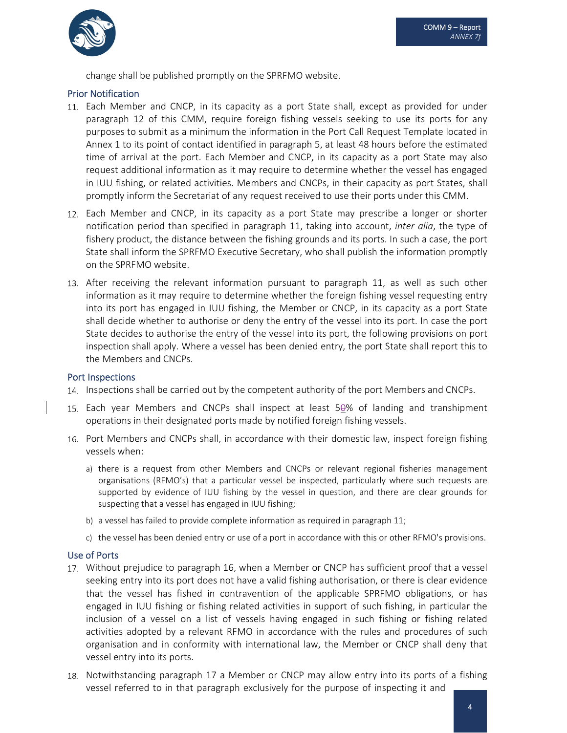

change shall be published promptly on the SPRFMO website.

### Prior Notification

- Each Member and CNCP, in its capacity as a port State shall, except as provided for under paragraph 12 of this CMM, require foreign fishing vessels seeking to use its ports for any purposes to submit as a minimum the information in the Port Call Request Template located in Annex 1 to its point of contact identified in paragraph 5, at least 48 hours before the estimated time of arrival at the port. Each Member and CNCP, in its capacity as a port State may also request additional information as it may require to determine whether the vessel has engaged in IUU fishing, or related activities. Members and CNCPs, in their capacity as port States, shall promptly inform the Secretariat of any request received to use their ports under this CMM.
- Each Member and CNCP, in its capacity as a port State may prescribe a longer or shorter notification period than specified in paragraph 11, taking into account, *inter alia*, the type of fishery product, the distance between the fishing grounds and its ports. In such a case, the port State shall inform the SPRFMO Executive Secretary, who shall publish the information promptly on the SPRFMO website.
- After receiving the relevant information pursuant to paragraph 11, as well as such other information as it may require to determine whether the foreign fishing vessel requesting entry into its port has engaged in IUU fishing, the Member or CNCP, in its capacity as a port State shall decide whether to authorise or deny the entry of the vessel into its port. In case the port State decides to authorise the entry of the vessel into its port, the following provisions on port inspection shall apply. Where a vessel has been denied entry, the port State shall report this to the Members and CNCPs.

### Port Inspections

- 14. Inspections shall be carried out by the competent authority of the port Members and CNCPs.
- Each year Members and CNCPs shall inspect at least 50% of landing and transhipment operations in their designated ports made by notified foreign fishing vessels.
- 16. Port Members and CNCPs shall, in accordance with their domestic law, inspect foreign fishing vessels when:
	- a) there is a request from other Members and CNCPs or relevant regional fisheries management organisations (RFMO's) that a particular vessel be inspected, particularly where such requests are supported by evidence of IUU fishing by the vessel in question, and there are clear grounds for suspecting that a vessel has engaged in IUU fishing;
	- b) a vessel has failed to provide complete information as required in paragraph 11;
	- c) the vessel has been denied entry or use of a port in accordance with this or other RFMO's provisions.

### Use of Ports

- 17. Without prejudice to paragraph 16, when a Member or CNCP has sufficient proof that a vessel seeking entry into its port does not have a valid fishing authorisation, or there is clear evidence that the vessel has fished in contravention of the applicable SPRFMO obligations, or has engaged in IUU fishing or fishing related activities in support of such fishing, in particular the inclusion of a vessel on a list of vessels having engaged in such fishing or fishing related activities adopted by a relevant RFMO in accordance with the rules and procedures of such organisation and in conformity with international law, the Member or CNCP shall deny that vessel entry into its ports.
- 18. Notwithstanding paragraph 17 a Member or CNCP may allow entry into its ports of a fishing vessel referred to in that paragraph exclusively for the purpose of inspecting it and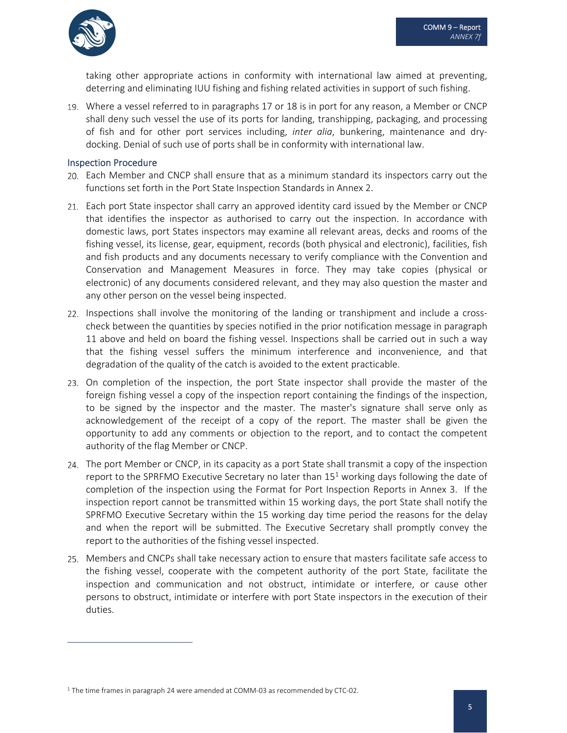

taking other appropriate actions in conformity with international law aimed at preventing, deterring and eliminating IUU fishing and fishing related activities in support of such fishing.

Where a vessel referred to in paragraphs 17 or 18 is in port for any reason, a Member or CNCP shall deny such vessel the use of its ports for landing, transhipping, packaging, and processing of fish and for other port services including, *inter alia*, bunkering, maintenance and dry‐ docking. Denial of such use of ports shall be in conformity with international law.

#### Inspection Procedure

- Each Member and CNCP shall ensure that as a minimum standard its inspectors carry out the functions set forth in the Port State Inspection Standards in Annex 2.
- Each port State inspector shall carry an approved identity card issued by the Member or CNCP that identifies the inspector as authorised to carry out the inspection. In accordance with domestic laws, port States inspectors may examine all relevant areas, decks and rooms of the fishing vessel, its license, gear, equipment, records (both physical and electronic), facilities, fish and fish products and any documents necessary to verify compliance with the Convention and Conservation and Management Measures in force. They may take copies (physical or electronic) of any documents considered relevant, and they may also question the master and any other person on the vessel being inspected.
- 22. Inspections shall involve the monitoring of the landing or transhipment and include a crosscheck between the quantities by species notified in the prior notification message in paragraph 11 above and held on board the fishing vessel. Inspections shall be carried out in such a way that the fishing vessel suffers the minimum interference and inconvenience, and that degradation of the quality of the catch is avoided to the extent practicable.
- On completion of the inspection, the port State inspector shall provide the master of the foreign fishing vessel a copy of the inspection report containing the findings of the inspection, to be signed by the inspector and the master. The master's signature shall serve only as acknowledgement of the receipt of a copy of the report. The master shall be given the opportunity to add any comments or objection to the report, and to contact the competent authority of the flag Member or CNCP.
- The port Member or CNCP, in its capacity as a port State shall transmit a copy of the inspection report to the SPRFMO Executive Secretary no later than  $15<sup>1</sup>$  working days following the date of completion of the inspection using the Format for Port Inspection Reports in Annex 3. If the inspection report cannot be transmitted within 15 working days, the port State shall notify the SPRFMO Executive Secretary within the 15 working day time period the reasons for the delay and when the report will be submitted. The Executive Secretary shall promptly convey the report to the authorities of the fishing vessel inspected.
- Members and CNCPs shall take necessary action to ensure that masters facilitate safe access to the fishing vessel, cooperate with the competent authority of the port State, facilitate the inspection and communication and not obstruct, intimidate or interfere, or cause other persons to obstruct, intimidate or interfere with port State inspectors in the execution of their duties.

<sup>&</sup>lt;sup>1</sup> The time frames in paragraph 24 were amended at COMM-03 as recommended by CTC-02.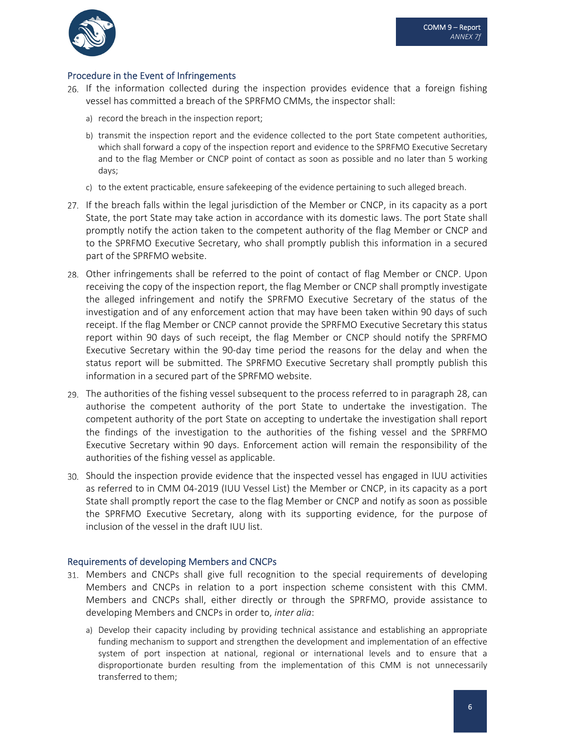

### Procedure in the Event of Infringements

- If the information collected during the inspection provides evidence that a foreign fishing vessel has committed a breach of the SPRFMO CMMs, the inspector shall:
	- a) record the breach in the inspection report;
	- b) transmit the inspection report and the evidence collected to the port State competent authorities, which shall forward a copy of the inspection report and evidence to the SPRFMO Executive Secretary and to the flag Member or CNCP point of contact as soon as possible and no later than 5 working days;
	- c) to the extent practicable, ensure safekeeping of the evidence pertaining to such alleged breach.
- 27. If the breach falls within the legal jurisdiction of the Member or CNCP, in its capacity as a port State, the port State may take action in accordance with its domestic laws. The port State shall promptly notify the action taken to the competent authority of the flag Member or CNCP and to the SPRFMO Executive Secretary, who shall promptly publish this information in a secured part of the SPRFMO website.
- 28. Other infringements shall be referred to the point of contact of flag Member or CNCP. Upon receiving the copy of the inspection report, the flag Member or CNCP shall promptly investigate the alleged infringement and notify the SPRFMO Executive Secretary of the status of the investigation and of any enforcement action that may have been taken within 90 days of such receipt. If the flag Member or CNCP cannot provide the SPRFMO Executive Secretary this status report within 90 days of such receipt, the flag Member or CNCP should notify the SPRFMO Executive Secretary within the 90‐day time period the reasons for the delay and when the status report will be submitted. The SPRFMO Executive Secretary shall promptly publish this information in a secured part of the SPRFMO website.
- 29. The authorities of the fishing vessel subsequent to the process referred to in paragraph 28, can authorise the competent authority of the port State to undertake the investigation. The competent authority of the port State on accepting to undertake the investigation shall report the findings of the investigation to the authorities of the fishing vessel and the SPRFMO Executive Secretary within 90 days. Enforcement action will remain the responsibility of the authorities of the fishing vessel as applicable.
- Should the inspection provide evidence that the inspected vessel has engaged in IUU activities as referred to in CMM 04‐2019 (IUU Vessel List) the Member or CNCP, in its capacity as a port State shall promptly report the case to the flag Member or CNCP and notify as soon as possible the SPRFMO Executive Secretary, along with its supporting evidence, for the purpose of inclusion of the vessel in the draft IUU list.

### Requirements of developing Members and CNCPs

- Members and CNCPs shall give full recognition to the special requirements of developing Members and CNCPs in relation to a port inspection scheme consistent with this CMM. Members and CNCPs shall, either directly or through the SPRFMO, provide assistance to developing Members and CNCPs in order to, *inter alia*:
	- a) Develop their capacity including by providing technical assistance and establishing an appropriate funding mechanism to support and strengthen the development and implementation of an effective system of port inspection at national, regional or international levels and to ensure that a disproportionate burden resulting from the implementation of this CMM is not unnecessarily transferred to them;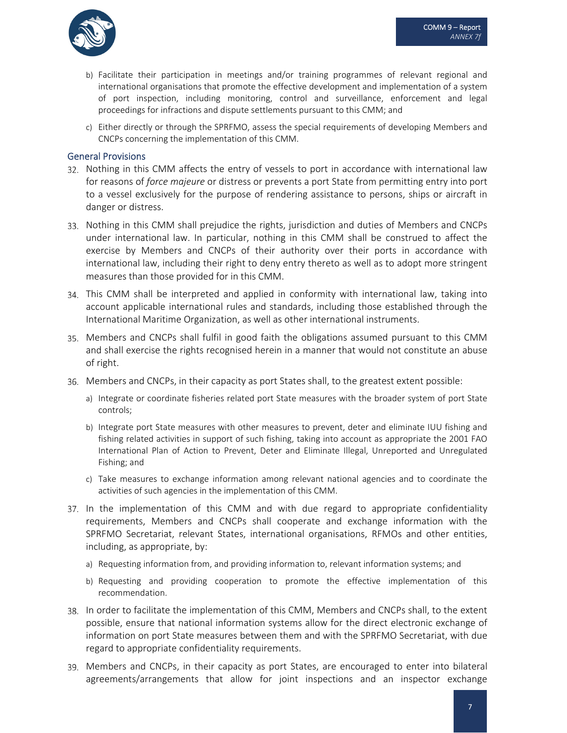

- b) Facilitate their participation in meetings and/or training programmes of relevant regional and international organisations that promote the effective development and implementation of a system of port inspection, including monitoring, control and surveillance, enforcement and legal proceedings for infractions and dispute settlements pursuant to this CMM; and
- c) Either directly or through the SPRFMO, assess the special requirements of developing Members and CNCPs concerning the implementation of this CMM.

#### General Provisions

- 32. Nothing in this CMM affects the entry of vessels to port in accordance with international law for reasons of *force majeure* or distress or prevents a port State from permitting entry into port to a vessel exclusively for the purpose of rendering assistance to persons, ships or aircraft in danger or distress.
- 33. Nothing in this CMM shall prejudice the rights, jurisdiction and duties of Members and CNCPs under international law. In particular, nothing in this CMM shall be construed to affect the exercise by Members and CNCPs of their authority over their ports in accordance with international law, including their right to deny entry thereto as well as to adopt more stringent measures than those provided for in this CMM.
- This CMM shall be interpreted and applied in conformity with international law, taking into account applicable international rules and standards, including those established through the International Maritime Organization, as well as other international instruments.
- Members and CNCPs shall fulfil in good faith the obligations assumed pursuant to this CMM and shall exercise the rights recognised herein in a manner that would not constitute an abuse of right.
- Members and CNCPs, in their capacity as port States shall, to the greatest extent possible:
	- a) Integrate or coordinate fisheries related port State measures with the broader system of port State controls;
	- b) Integrate port State measures with other measures to prevent, deter and eliminate IUU fishing and fishing related activities in support of such fishing, taking into account as appropriate the 2001 FAO International Plan of Action to Prevent, Deter and Eliminate Illegal, Unreported and Unregulated Fishing; and
	- c) Take measures to exchange information among relevant national agencies and to coordinate the activities of such agencies in the implementation of this CMM.
- 37. In the implementation of this CMM and with due regard to appropriate confidentiality requirements, Members and CNCPs shall cooperate and exchange information with the SPRFMO Secretariat, relevant States, international organisations, RFMOs and other entities, including, as appropriate, by:
	- a) Requesting information from, and providing information to, relevant information systems; and
	- b) Requesting and providing cooperation to promote the effective implementation of this recommendation.
- 38. In order to facilitate the implementation of this CMM, Members and CNCPs shall, to the extent possible, ensure that national information systems allow for the direct electronic exchange of information on port State measures between them and with the SPRFMO Secretariat, with due regard to appropriate confidentiality requirements.
- Members and CNCPs, in their capacity as port States, are encouraged to enter into bilateral agreements/arrangements that allow for joint inspections and an inspector exchange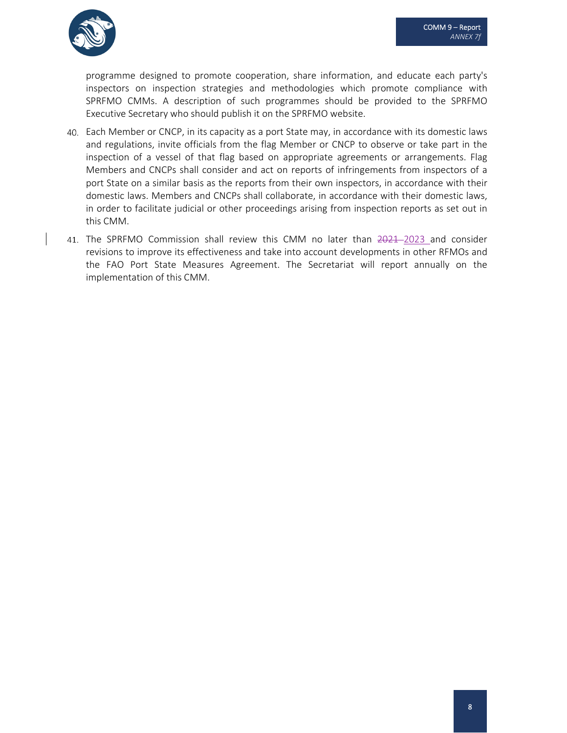

programme designed to promote cooperation, share information, and educate each party's inspectors on inspection strategies and methodologies which promote compliance with SPRFMO CMMs. A description of such programmes should be provided to the SPRFMO Executive Secretary who should publish it on the SPRFMO website.

- Each Member or CNCP, in its capacity as a port State may, in accordance with its domestic laws and regulations, invite officials from the flag Member or CNCP to observe or take part in the inspection of a vessel of that flag based on appropriate agreements or arrangements. Flag Members and CNCPs shall consider and act on reports of infringements from inspectors of a port State on a similar basis as the reports from their own inspectors, in accordance with their domestic laws. Members and CNCPs shall collaborate, in accordance with their domestic laws, in order to facilitate judicial or other proceedings arising from inspection reports as set out in this CMM.
- 41. The SPRFMO Commission shall review this CMM no later than 2021-2023 and consider revisions to improve its effectiveness and take into account developments in other RFMOs and the FAO Port State Measures Agreement. The Secretariat will report annually on the implementation of this CMM.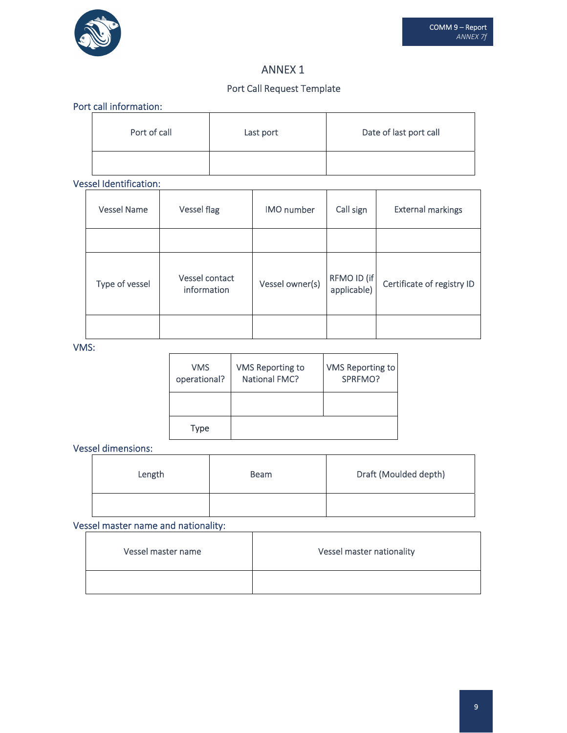

## ANNEX 1

## Port Call Request Template

### Port call information:

| Port of call | Last port | Date of last port call |
|--------------|-----------|------------------------|
|              |           |                        |

## Vessel Identification:

| <b>Vessel Name</b> | <b>Vessel flag</b>            | <b>IMO</b> number | Call sign                  | <b>External markings</b>   |
|--------------------|-------------------------------|-------------------|----------------------------|----------------------------|
|                    |                               |                   |                            |                            |
| Type of vessel     | Vessel contact<br>information | Vessel owner(s)   | RFMO ID (if<br>applicable) | Certificate of registry ID |
|                    |                               |                   |                            |                            |

### VMS:

| <b>VMS</b><br>operational? | VMS Reporting to<br><b>National FMC?</b> | VMS Reporting to<br>SPRFMO? |
|----------------------------|------------------------------------------|-----------------------------|
|                            |                                          |                             |
| Type                       |                                          |                             |

Vessel dimensions:

| Length | <b>Beam</b> | Draft (Moulded depth) |
|--------|-------------|-----------------------|
|        |             |                       |

## Vessel master name and nationality:

| Vessel master name | Vessel master nationality |
|--------------------|---------------------------|
|                    |                           |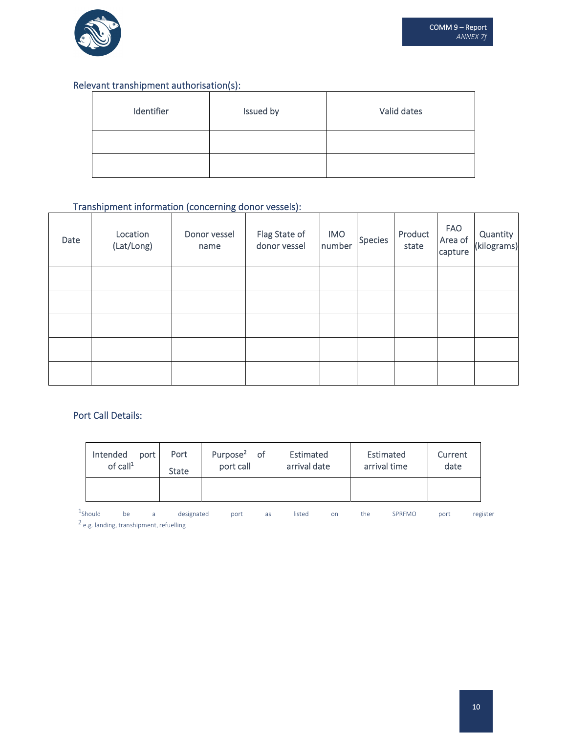

### Relevant transhipment authorisation(s):

| Identifier | Issued by | Valid dates |
|------------|-----------|-------------|
|            |           |             |
|            |           |             |

## Transhipment information (concerning donor vessels):

| Date | Location<br>(Lat/Long) | Donor vessel<br>name | Flag State of<br>donor vessel | <b>IMO</b><br>number | <b>Species</b> | Product<br>state | <b>FAO</b><br>Area of<br>capture | Quantity<br>(kilograms) |
|------|------------------------|----------------------|-------------------------------|----------------------|----------------|------------------|----------------------------------|-------------------------|
|      |                        |                      |                               |                      |                |                  |                                  |                         |
|      |                        |                      |                               |                      |                |                  |                                  |                         |
|      |                        |                      |                               |                      |                |                  |                                  |                         |
|      |                        |                      |                               |                      |                |                  |                                  |                         |
|      |                        |                      |                               |                      |                |                  |                                  |                         |

## Port Call Details:

| Intended<br>port<br>of call <sup>1</sup> | Port<br><b>State</b> | Purpose <sup>2</sup><br>- of<br>port call | Estimated<br>arrival date | Estimated<br>arrival time | Current<br>date |
|------------------------------------------|----------------------|-------------------------------------------|---------------------------|---------------------------|-----------------|
|                                          |                      |                                           |                           |                           |                 |

1Should be a designated port as listed on the SPRFMO port register  $2$  e.g. landing, transhipment, refuelling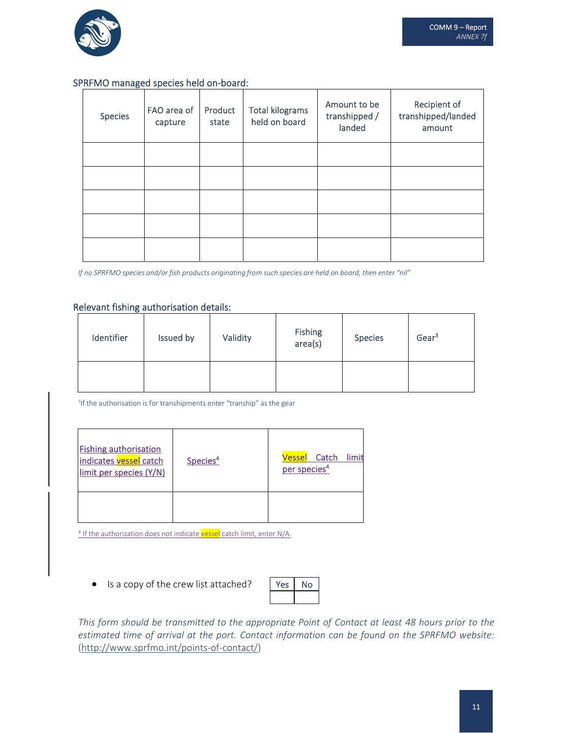

### SPRFMO managed species held on‐board:

| <b>Species</b> | FAO area of<br>capture | Product<br>state | <b>Total kilograms</b><br>held on board | Amount to be<br>transhipped /<br>landed | Recipient of<br>transhipped/landed<br>amount |
|----------------|------------------------|------------------|-----------------------------------------|-----------------------------------------|----------------------------------------------|
|                |                        |                  |                                         |                                         |                                              |
|                |                        |                  |                                         |                                         |                                              |
|                |                        |                  |                                         |                                         |                                              |
|                |                        |                  |                                         |                                         |                                              |
|                |                        |                  |                                         |                                         |                                              |

If no SPRFMO species and/or fish products originating from such species are held on board, then enter "nil"

#### Relevant fishing authorisation details:

| Identifier | Issued by | Validity | Fishing<br>area(s) | <b>Species</b> | Gear <sup>3</sup> |
|------------|-----------|----------|--------------------|----------------|-------------------|
|            |           |          |                    |                |                   |

3 If the authorisation is for transhipments enter "tranship" as the gear

| <b>Fishing authorisation</b><br>indicates vessel catch<br>limit per species (Y/N) | Species <sup>4</sup> | <b>Vessel</b> Catch<br>limit<br>per species <sup>4</sup> |
|-----------------------------------------------------------------------------------|----------------------|----------------------------------------------------------|
|                                                                                   |                      |                                                          |

<sup>4</sup> If the authorization does not indicate vessel catch limit, enter N/A.

• Is a copy of the crew list attached?

| Pς | n |
|----|---|
|    |   |

*This form should be transmitted to the appropriate Point of Contact at least 48 hours prior to the estimated time of arrival at the port. Contact information can be found on the SPRFMO website:* (http://www.sprfmo.int/points‐of‐contact/)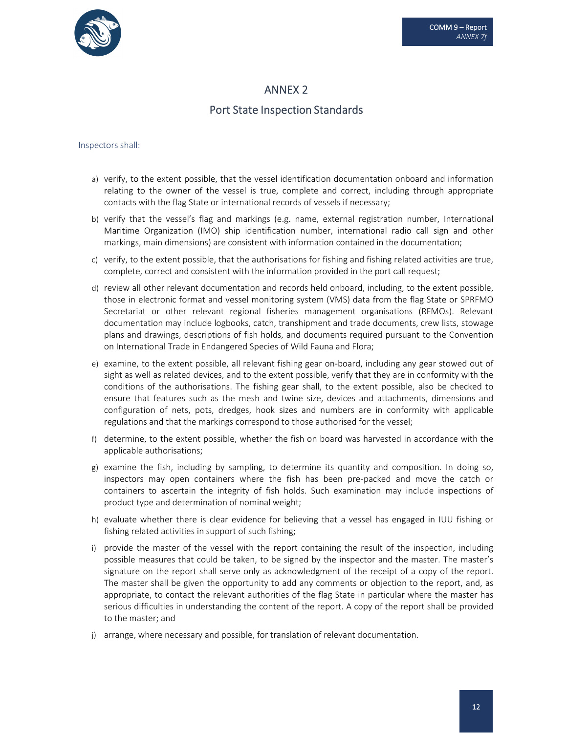

## ANNEX 2

## Port State Inspection Standards

#### Inspectors shall:

- a) verify, to the extent possible, that the vessel identification documentation onboard and information relating to the owner of the vessel is true, complete and correct, including through appropriate contacts with the flag State or international records of vessels if necessary;
- b) verify that the vessel's flag and markings (e.g. name, external registration number, International Maritime Organization (IMO) ship identification number, international radio call sign and other markings, main dimensions) are consistent with information contained in the documentation;
- c) verify, to the extent possible, that the authorisations for fishing and fishing related activities are true, complete, correct and consistent with the information provided in the port call request;
- d) review all other relevant documentation and records held onboard, including, to the extent possible, those in electronic format and vessel monitoring system (VMS) data from the flag State or SPRFMO Secretariat or other relevant regional fisheries management organisations (RFMOs). Relevant documentation may include logbooks, catch, transhipment and trade documents, crew lists, stowage plans and drawings, descriptions of fish holds, and documents required pursuant to the Convention on International Trade in Endangered Species of Wild Fauna and Flora;
- e) examine, to the extent possible, all relevant fishing gear on‐board, including any gear stowed out of sight as well as related devices, and to the extent possible, verify that they are in conformity with the conditions of the authorisations. The fishing gear shall, to the extent possible, also be checked to ensure that features such as the mesh and twine size, devices and attachments, dimensions and configuration of nets, pots, dredges, hook sizes and numbers are in conformity with applicable regulations and that the markings correspond to those authorised for the vessel;
- f) determine, to the extent possible, whether the fish on board was harvested in accordance with the applicable authorisations;
- g) examine the fish, including by sampling, to determine its quantity and composition. In doing so, inspectors may open containers where the fish has been pre‐packed and move the catch or containers to ascertain the integrity of fish holds. Such examination may include inspections of product type and determination of nominal weight;
- h) evaluate whether there is clear evidence for believing that a vessel has engaged in IUU fishing or fishing related activities in support of such fishing;
- i) provide the master of the vessel with the report containing the result of the inspection, including possible measures that could be taken, to be signed by the inspector and the master. The master's signature on the report shall serve only as acknowledgment of the receipt of a copy of the report. The master shall be given the opportunity to add any comments or objection to the report, and, as appropriate, to contact the relevant authorities of the flag State in particular where the master has serious difficulties in understanding the content of the report. A copy of the report shall be provided to the master; and
- j) arrange, where necessary and possible, for translation of relevant documentation.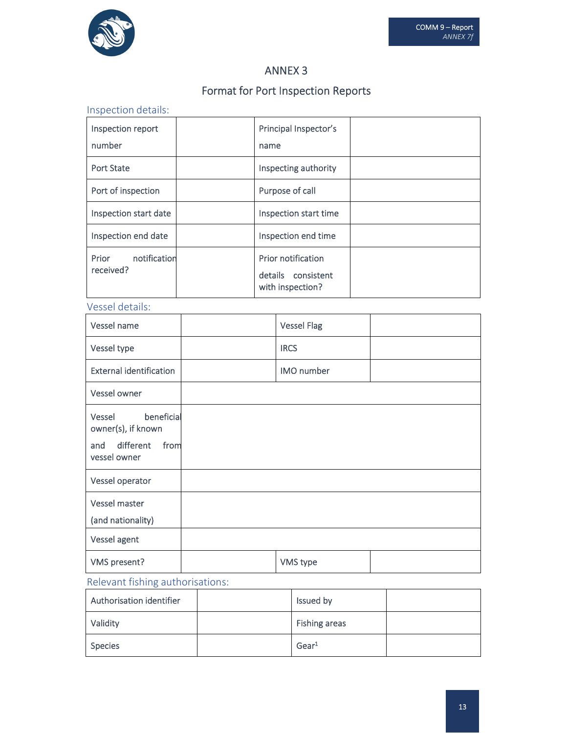

## ANNEX 3

# Format for Port Inspection Reports

# Inspection details:

| Inspection report<br>number        | Principal Inspector's<br>name                                |
|------------------------------------|--------------------------------------------------------------|
| <b>Port State</b>                  | Inspecting authority                                         |
| Port of inspection                 | Purpose of call                                              |
| Inspection start date              | Inspection start time                                        |
| Inspection end date                | Inspection end time                                          |
| notification<br>Prior<br>received? | Prior notification<br>details consistent<br>with inspection? |

## Vessel details:

| Vessel name                                                                            | <b>Vessel Flag</b> |  |
|----------------------------------------------------------------------------------------|--------------------|--|
| Vessel type                                                                            | <b>IRCS</b>        |  |
| <b>External identification</b>                                                         | IMO number         |  |
| Vessel owner                                                                           |                    |  |
| beneficial<br>Vessel<br>owner(s), if known<br>different<br>from<br>and<br>vessel owner |                    |  |
| Vessel operator                                                                        |                    |  |
| Vessel master<br>(and nationality)                                                     |                    |  |
| Vessel agent                                                                           |                    |  |
| VMS present?                                                                           | VMS type           |  |

# Relevant fishing authorisations:

| Authorisation identifier | Issued by         |  |
|--------------------------|-------------------|--|
| Validity                 | Fishing areas     |  |
| <b>Species</b>           | Gear <sup>1</sup> |  |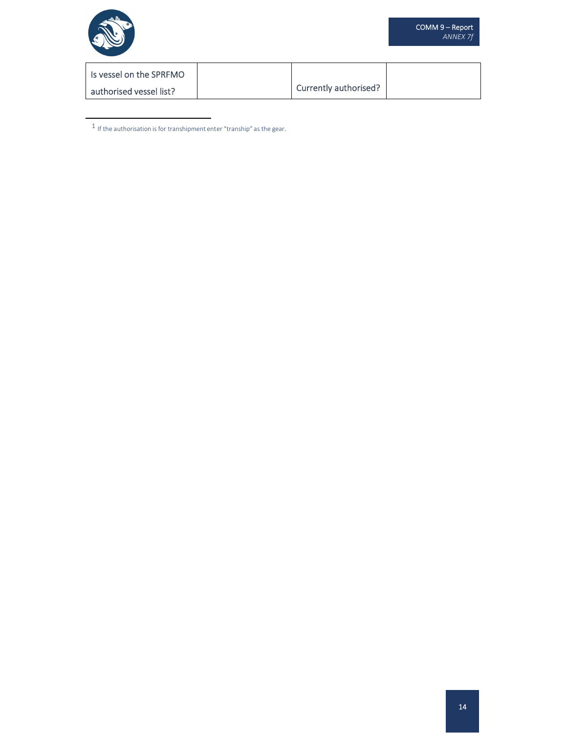

| Is vessel on the SPRFMO |                       |  |
|-------------------------|-----------------------|--|
| authorised vessel list? | Currently authorised? |  |

 $^{\rm 1}$  If the authorisation is for transhipment enter "tranship" as the gear.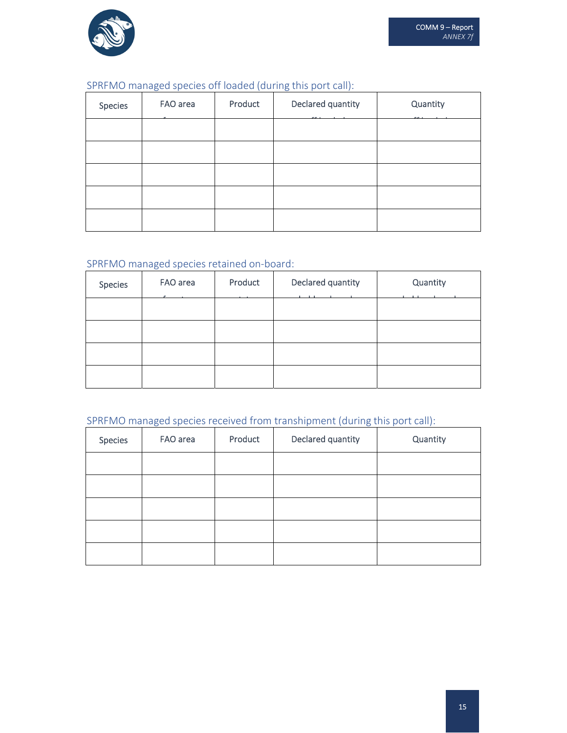

## SPRFMO managed species off loaded (during this port call):

| Species | FAO area | Product | Declared quantity | Quantity |
|---------|----------|---------|-------------------|----------|
|         |          |         |                   |          |
|         |          |         |                   |          |
|         |          |         |                   |          |
|         |          |         |                   |          |
|         |          |         |                   |          |

## SPRFMO managed species retained on‐board:

| Species | FAO area | Product | Declared quantity | Quantity |
|---------|----------|---------|-------------------|----------|
|         |          |         |                   |          |
|         |          |         |                   |          |
|         |          |         |                   |          |
|         |          |         |                   |          |

# SPRFMO managed species received from transhipment (during this port call):

| Species | FAO area | Product | Declared quantity | Quantity |
|---------|----------|---------|-------------------|----------|
|         |          |         |                   |          |
|         |          |         |                   |          |
|         |          |         |                   |          |
|         |          |         |                   |          |
|         |          |         |                   |          |